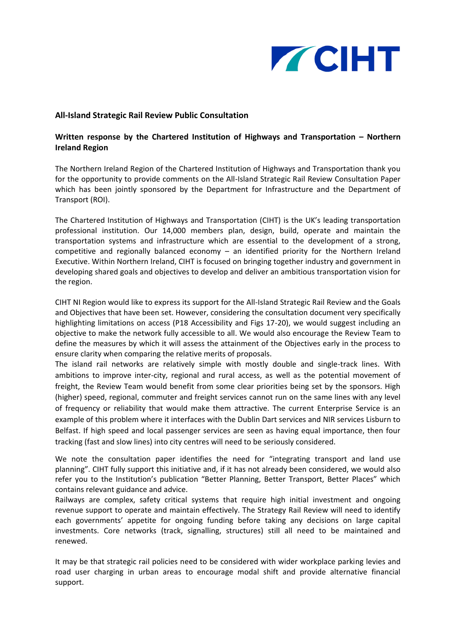

## **All-Island Strategic Rail Review Public Consultation**

## **Written response by the Chartered Institution of Highways and Transportation – Northern Ireland Region**

The Northern Ireland Region of the Chartered Institution of Highways and Transportation thank you for the opportunity to provide comments on the All-Island Strategic Rail Review Consultation Paper which has been jointly sponsored by the Department for Infrastructure and the Department of Transport (ROI).

The Chartered Institution of Highways and Transportation (CIHT) is the UK's leading transportation professional institution. Our 14,000 members plan, design, build, operate and maintain the transportation systems and infrastructure which are essential to the development of a strong, competitive and regionally balanced economy – an identified priority for the Northern Ireland Executive. Within Northern Ireland, CIHT is focused on bringing together industry and government in developing shared goals and objectives to develop and deliver an ambitious transportation vision for the region.

CIHT NI Region would like to express its support for the All-Island Strategic Rail Review and the Goals and Objectives that have been set. However, considering the consultation document very specifically highlighting limitations on access (P18 Accessibility and Figs 17-20), we would suggest including an objective to make the network fully accessible to all. We would also encourage the Review Team to define the measures by which it will assess the attainment of the Objectives early in the process to ensure clarity when comparing the relative merits of proposals.

The island rail networks are relatively simple with mostly double and single-track lines. With ambitions to improve inter-city, regional and rural access, as well as the potential movement of freight, the Review Team would benefit from some clear priorities being set by the sponsors. High (higher) speed, regional, commuter and freight services cannot run on the same lines with any level of frequency or reliability that would make them attractive. The current Enterprise Service is an example of this problem where it interfaces with the Dublin Dart services and NIR services Lisburn to Belfast. If high speed and local passenger services are seen as having equal importance, then four tracking (fast and slow lines) into city centres will need to be seriously considered.

We note the consultation paper identifies the need for "integrating transport and land use planning". CIHT fully support this initiative and, if it has not already been considered, we would also refer you to the Institution's publication "Better Planning, Better Transport, Better Places" which contains relevant guidance and advice.

Railways are complex, safety critical systems that require high initial investment and ongoing revenue support to operate and maintain effectively. The Strategy Rail Review will need to identify each governments' appetite for ongoing funding before taking any decisions on large capital investments. Core networks (track, signalling, structures) still all need to be maintained and renewed.

It may be that strategic rail policies need to be considered with wider workplace parking levies and road user charging in urban areas to encourage modal shift and provide alternative financial support.